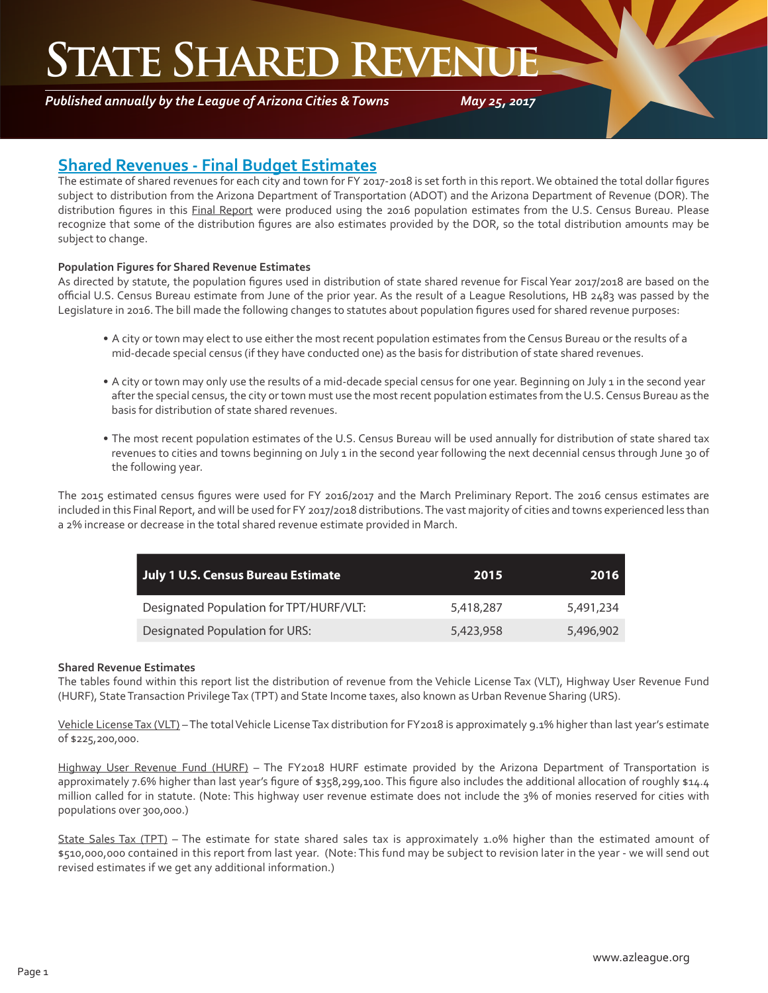## **STATE SHARED REVEN**

*Published annually by the League of Arizona Cities & Towns*

*May 25, 2017*

### **Shared Revenues - Final Budget Estimates**

The estimate of shared revenues for each city and town for FY 2017-2018 is set forth in this report. We obtained the total dollar figures subject to distribution from the Arizona Department of Transportation (ADOT) and the Arizona Department of Revenue (DOR). The distribution figures in this Final Report were produced using the 2016 population estimates from the U.S. Census Bureau. Please recognize that some of the distribution figures are also estimates provided by the DOR, so the total distribution amounts may be subject to change.

#### **Population Figures for Shared Revenue Estimates**

As directed by statute, the population figures used in distribution of state shared revenue for Fiscal Year 2017/2018 are based on the official U.S. Census Bureau estimate from June of the prior year. As the result of a League Resolutions, HB 2483 was passed by the Legislature in 2016. The bill made the following changes to statutes about population figures used for shared revenue purposes:

- A city or town may elect to use either the most recent population estimates from the Census Bureau or the results of a mid-decade special census (if they have conducted one) as the basis for distribution of state shared revenues.
- A city or town may only use the results of a mid-decade special census for one year. Beginning on July 1 in the second year after the special census, the city or town must use the most recent population estimates from the U.S. Census Bureau as the basis for distribution of state shared revenues.
- The most recent population estimates of the U.S. Census Bureau will be used annually for distribution of state shared tax revenues to cities and towns beginning on July 1 in the second year following the next decennial census through June 30 of the following year.

The 2015 estimated census figures were used for FY 2016/2017 and the March Preliminary Report. The 2016 census estimates are included in this Final Report, and will be used for FY 2017/2018 distributions. The vast majority of cities and towns experienced less than a 2% increase or decrease in the total shared revenue estimate provided in March.

| <b>July 1 U.S. Census Bureau Estimate</b> | 2015      | 2016      |
|-------------------------------------------|-----------|-----------|
| Designated Population for TPT/HURF/VLT:   | 5,418,287 | 5.491.234 |
| Designated Population for URS:            | 5,423,958 | 5,496,902 |

#### **Shared Revenue Estimates**

The tables found within this report list the distribution of revenue from the Vehicle License Tax (VLT), Highway User Revenue Fund (HURF), State Transaction Privilege Tax (TPT) and State Income taxes, also known as Urban Revenue Sharing (URS).

Vehicle License Tax (VLT) – The total Vehicle License Tax distribution for FY2018 is approximately 9.1% higher than last year's estimate of \$225,200,000.

Highway User Revenue Fund (HURF) – The FY2018 HURF estimate provided by the Arizona Department of Transportation is approximately 7.6% higher than last year's figure of \$358,299,100. This figure also includes the additional allocation of roughly \$14.4 million called for in statute. (Note: This highway user revenue estimate does not include the 3% of monies reserved for cities with populations over 300,000.)

State Sales Tax (TPT) – The estimate for state shared sales tax is approximately 1.0% higher than the estimated amount of \$510,000,000 contained in this report from last year. (Note: This fund may be subject to revision later in the year - we will send out revised estimates if we get any additional information.)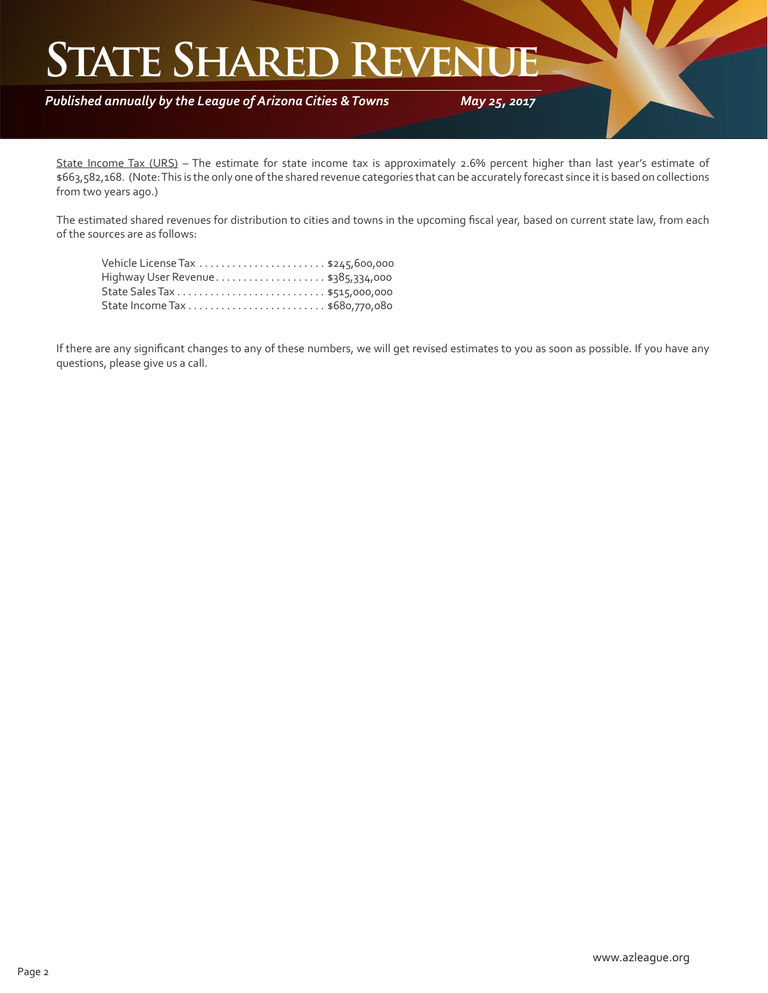## **STATE SHARED REVENT**

*Published annually by the League of Arizona Cities & Towns*

*May 25, 2017*

State Income Tax (URS) – The estimate for state income tax is approximately 2.6% percent higher than last year's estimate of \$663,582,168. (Note: This is the only one of the shared revenue categories that can be accurately forecast since it is based on collections from two years ago.)

The estimated shared revenues for distribution to cities and towns in the upcoming fiscal year, based on current state law, from each of the sources are as follows:

If there are any significant changes to any of these numbers, we will get revised estimates to you as soon as possible. If you have any questions, please give us a call.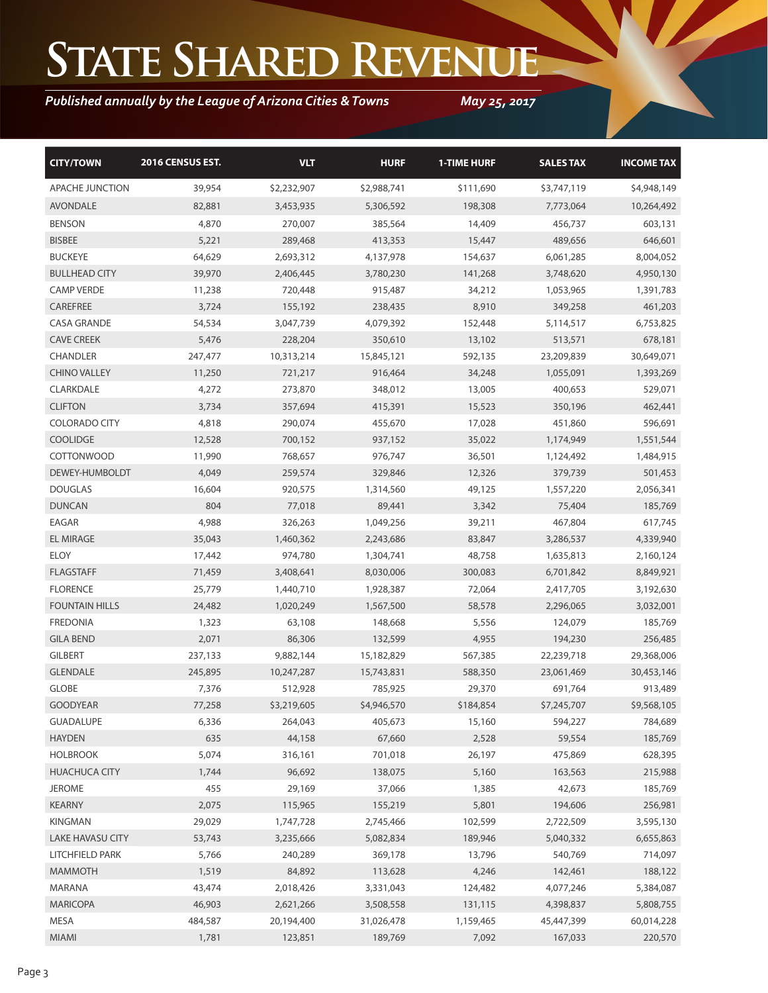# **State Shared Revenue**

### *Published annually by the League of Arizona Cities & Towns*

*May 25, 2017*

| <b>CITY/TOWN</b>        | <b>2016 CENSUS EST.</b> | <b>VLT</b>  | <b>HURF</b> | <b>1-TIME HURF</b> | <b>SALESTAX</b> | <b>INCOME TAX</b> |
|-------------------------|-------------------------|-------------|-------------|--------------------|-----------------|-------------------|
| <b>APACHE JUNCTION</b>  | 39,954                  | \$2,232,907 | \$2,988,741 | \$111,690          | \$3,747,119     | \$4,948,149       |
| <b>AVONDALE</b>         | 82,881                  | 3,453,935   | 5,306,592   | 198,308            | 7,773,064       | 10,264,492        |
| <b>BENSON</b>           | 4,870                   | 270,007     | 385,564     | 14,409             | 456,737         | 603,131           |
| <b>BISBEE</b>           | 5,221                   | 289,468     | 413,353     | 15,447             | 489,656         | 646,601           |
| <b>BUCKEYE</b>          | 64,629                  | 2,693,312   | 4,137,978   | 154,637            | 6,061,285       | 8,004,052         |
| <b>BULLHEAD CITY</b>    | 39,970                  | 2,406,445   | 3,780,230   | 141,268            | 3,748,620       | 4,950,130         |
| <b>CAMP VERDE</b>       | 11,238                  | 720,448     | 915,487     | 34,212             | 1,053,965       | 1,391,783         |
| CAREFREE                | 3,724                   | 155,192     | 238,435     | 8,910              | 349,258         | 461,203           |
| <b>CASA GRANDE</b>      | 54,534                  | 3,047,739   | 4,079,392   | 152,448            | 5,114,517       | 6,753,825         |
| <b>CAVE CREEK</b>       | 5,476                   | 228,204     | 350,610     | 13,102             | 513,571         | 678,181           |
| <b>CHANDLER</b>         | 247,477                 | 10,313,214  | 15,845,121  | 592,135            | 23,209,839      | 30,649,071        |
| <b>CHINO VALLEY</b>     | 11,250                  | 721,217     | 916,464     | 34,248             | 1,055,091       | 1,393,269         |
| CLARKDALE               | 4,272                   | 273,870     | 348,012     | 13,005             | 400,653         | 529,071           |
| <b>CLIFTON</b>          | 3,734                   | 357,694     | 415,391     | 15,523             | 350,196         | 462,441           |
| <b>COLORADO CITY</b>    | 4,818                   | 290,074     | 455,670     | 17,028             | 451,860         | 596,691           |
| <b>COOLIDGE</b>         | 12,528                  | 700,152     | 937,152     | 35,022             | 1,174,949       | 1,551,544         |
| <b>COTTONWOOD</b>       | 11,990                  | 768,657     | 976,747     | 36,501             | 1,124,492       | 1,484,915         |
| DEWEY-HUMBOLDT          | 4,049                   | 259,574     | 329,846     | 12,326             | 379,739         | 501,453           |
| <b>DOUGLAS</b>          | 16,604                  | 920,575     | 1,314,560   | 49,125             | 1,557,220       | 2,056,341         |
| <b>DUNCAN</b>           | 804                     | 77,018      | 89,441      | 3,342              | 75,404          | 185,769           |
| EAGAR                   | 4,988                   | 326,263     | 1,049,256   | 39,211             | 467,804         | 617,745           |
| <b>EL MIRAGE</b>        | 35,043                  | 1,460,362   | 2,243,686   | 83,847             | 3,286,537       | 4,339,940         |
| <b>ELOY</b>             | 17,442                  | 974,780     | 1,304,741   | 48,758             | 1,635,813       | 2,160,124         |
| <b>FLAGSTAFF</b>        | 71,459                  | 3,408,641   | 8,030,006   | 300,083            | 6,701,842       | 8,849,921         |
| <b>FLORENCE</b>         | 25,779                  | 1,440,710   | 1,928,387   | 72,064             | 2,417,705       | 3,192,630         |
| <b>FOUNTAIN HILLS</b>   | 24,482                  | 1,020,249   | 1,567,500   | 58,578             | 2,296,065       | 3,032,001         |
| <b>FREDONIA</b>         | 1,323                   | 63,108      | 148,668     | 5,556              | 124,079         | 185,769           |
| <b>GILA BEND</b>        | 2,071                   | 86,306      | 132,599     | 4,955              | 194,230         | 256,485           |
| <b>GILBERT</b>          | 237,133                 | 9,882,144   | 15,182,829  | 567,385            | 22,239,718      | 29,368,006        |
| <b>GLENDALE</b>         | 245,895                 | 10,247,287  | 15,743,831  | 588,350            | 23,061,469      | 30,453,146        |
| <b>GLOBE</b>            | 7,376                   | 512,928     | 785,925     | 29,370             | 691,764         | 913,489           |
| <b>GOODYEAR</b>         | 77,258                  | \$3,219,605 | \$4,946,570 | \$184,854          | \$7,245,707     | \$9,568,105       |
| <b>GUADALUPE</b>        | 6,336                   | 264,043     | 405,673     | 15,160             | 594,227         | 784,689           |
| <b>HAYDEN</b>           | 635                     | 44,158      | 67,660      | 2,528              | 59,554          | 185,769           |
| <b>HOLBROOK</b>         | 5,074                   | 316,161     | 701,018     | 26,197             | 475,869         | 628,395           |
| <b>HUACHUCA CITY</b>    | 1,744                   | 96,692      | 138,075     | 5,160              | 163,563         | 215,988           |
| <b>JEROME</b>           | 455                     | 29,169      | 37,066      | 1,385              | 42,673          | 185,769           |
| <b>KEARNY</b>           | 2,075                   | 115,965     | 155,219     | 5,801              | 194,606         | 256,981           |
| <b>KINGMAN</b>          | 29,029                  | 1,747,728   | 2,745,466   | 102,599            | 2,722,509       | 3,595,130         |
| <b>LAKE HAVASU CITY</b> | 53,743                  | 3,235,666   | 5,082,834   | 189,946            | 5,040,332       | 6,655,863         |
| LITCHFIELD PARK         | 5,766                   | 240,289     | 369,178     | 13,796             | 540,769         | 714,097           |
| <b>MAMMOTH</b>          | 1,519                   | 84,892      | 113,628     | 4,246              | 142,461         | 188,122           |
| MARANA                  | 43,474                  | 2,018,426   | 3,331,043   | 124,482            | 4,077,246       | 5,384,087         |
| <b>MARICOPA</b>         | 46,903                  | 2,621,266   | 3,508,558   | 131,115            | 4,398,837       | 5,808,755         |
| MESA                    | 484,587                 | 20,194,400  | 31,026,478  | 1,159,465          | 45,447,399      | 60,014,228        |
| MIAMI                   | 1,781                   | 123,851     | 189,769     | 7,092              | 167,033         | 220,570           |